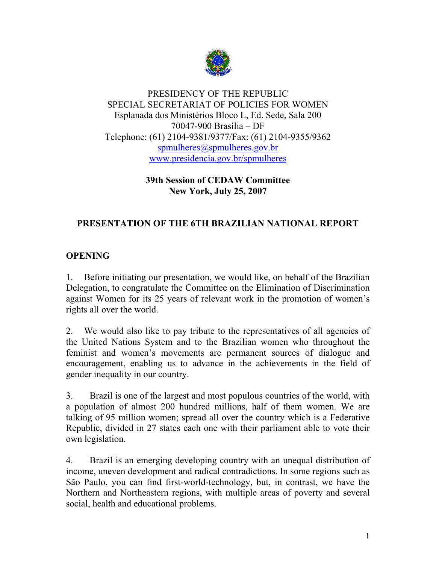

### PRESIDENCY OF THE REPUBLIC SPECIAL SECRETARIAT OF POLICIES FOR WOMEN Esplanada dos Ministérios Bloco L, Ed. Sede, Sala 200 70047-900 Brasília – DF Telephone: (61) 2104-9381/9377/Fax: (61) 2104-9355/9362 spmulheres@spmulheres.gov.br www.presidencia.gov.br/spmulheres

**39th Session of CEDAW Committee New York, July 25, 2007** 

# **PRESENTATION OF THE 6TH BRAZILIAN NATIONAL REPORT**

# **OPENING**

1. Before initiating our presentation, we would like, on behalf of the Brazilian Delegation, to congratulate the Committee on the Elimination of Discrimination against Women for its 25 years of relevant work in the promotion of women's rights all over the world.

2. We would also like to pay tribute to the representatives of all agencies of the United Nations System and to the Brazilian women who throughout the feminist and women's movements are permanent sources of dialogue and encouragement, enabling us to advance in the achievements in the field of gender inequality in our country.

3. Brazil is one of the largest and most populous countries of the world, with a population of almost 200 hundred millions, half of them women. We are talking of 95 million women; spread all over the country which is a Federative Republic, divided in 27 states each one with their parliament able to vote their own legislation.

4. Brazil is an emerging developing country with an unequal distribution of income, uneven development and radical contradictions. In some regions such as São Paulo, you can find first-world-technology, but, in contrast, we have the Northern and Northeastern regions, with multiple areas of poverty and several social, health and educational problems.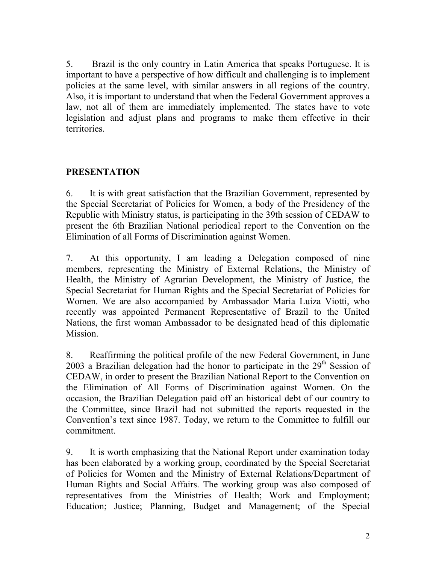5. Brazil is the only country in Latin America that speaks Portuguese. It is important to have a perspective of how difficult and challenging is to implement policies at the same level, with similar answers in all regions of the country. Also, it is important to understand that when the Federal Government approves a law, not all of them are immediately implemented. The states have to vote legislation and adjust plans and programs to make them effective in their territories.

### **PRESENTATION**

6. It is with great satisfaction that the Brazilian Government, represented by the Special Secretariat of Policies for Women, a body of the Presidency of the Republic with Ministry status, is participating in the 39th session of CEDAW to present the 6th Brazilian National periodical report to the Convention on the Elimination of all Forms of Discrimination against Women.

7. At this opportunity, I am leading a Delegation composed of nine members, representing the Ministry of External Relations, the Ministry of Health, the Ministry of Agrarian Development, the Ministry of Justice, the Special Secretariat for Human Rights and the Special Secretariat of Policies for Women. We are also accompanied by Ambassador Maria Luiza Viotti, who recently was appointed Permanent Representative of Brazil to the United Nations, the first woman Ambassador to be designated head of this diplomatic Mission.

8. Reaffirming the political profile of the new Federal Government, in June 2003 a Brazilian delegation had the honor to participate in the  $29<sup>th</sup>$  Session of CEDAW, in order to present the Brazilian National Report to the Convention on the Elimination of All Forms of Discrimination against Women. On the occasion, the Brazilian Delegation paid off an historical debt of our country to the Committee, since Brazil had not submitted the reports requested in the Convention's text since 1987. Today, we return to the Committee to fulfill our commitment.

9. It is worth emphasizing that the National Report under examination today has been elaborated by a working group, coordinated by the Special Secretariat of Policies for Women and the Ministry of External Relations/Department of Human Rights and Social Affairs. The working group was also composed of representatives from the Ministries of Health; Work and Employment; Education; Justice; Planning, Budget and Management; of the Special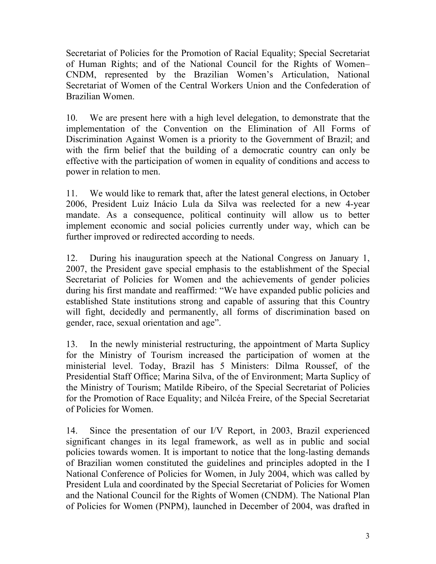Secretariat of Policies for the Promotion of Racial Equality; Special Secretariat of Human Rights; and of the National Council for the Rights of Women– CNDM, represented by the Brazilian Women's Articulation, National Secretariat of Women of the Central Workers Union and the Confederation of Brazilian Women.

10. We are present here with a high level delegation, to demonstrate that the implementation of the Convention on the Elimination of All Forms of Discrimination Against Women is a priority to the Government of Brazil; and with the firm belief that the building of a democratic country can only be effective with the participation of women in equality of conditions and access to power in relation to men.

11. We would like to remark that, after the latest general elections, in October 2006, President Luiz Inácio Lula da Silva was reelected for a new 4-year mandate. As a consequence, political continuity will allow us to better implement economic and social policies currently under way, which can be further improved or redirected according to needs.

12. During his inauguration speech at the National Congress on January 1, 2007, the President gave special emphasis to the establishment of the Special Secretariat of Policies for Women and the achievements of gender policies during his first mandate and reaffirmed: "We have expanded public policies and established State institutions strong and capable of assuring that this Country will fight, decidedly and permanently, all forms of discrimination based on gender, race, sexual orientation and age".

13. In the newly ministerial restructuring, the appointment of Marta Suplicy for the Ministry of Tourism increased the participation of women at the ministerial level. Today, Brazil has 5 Ministers: Dilma Roussef, of the Presidential Staff Office; Marina Silva, of the of Environment; Marta Suplicy of the Ministry of Tourism; Matilde Ribeiro, of the Special Secretariat of Policies for the Promotion of Race Equality; and Nilcéa Freire, of the Special Secretariat of Policies for Women.

14. Since the presentation of our I/V Report, in 2003, Brazil experienced significant changes in its legal framework, as well as in public and social policies towards women. It is important to notice that the long-lasting demands of Brazilian women constituted the guidelines and principles adopted in the I National Conference of Policies for Women, in July 2004, which was called by President Lula and coordinated by the Special Secretariat of Policies for Women and the National Council for the Rights of Women (CNDM). The National Plan of Policies for Women (PNPM), launched in December of 2004, was drafted in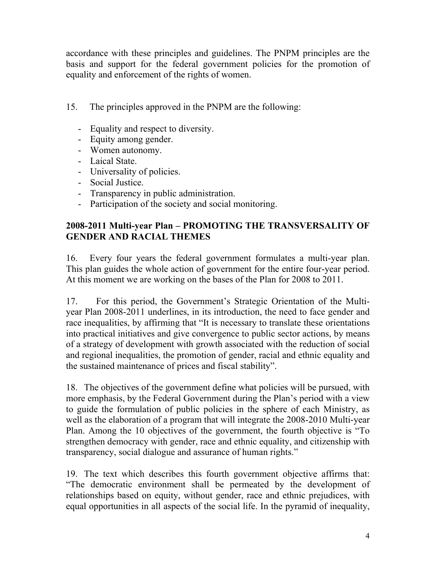accordance with these principles and guidelines. The PNPM principles are the basis and support for the federal government policies for the promotion of equality and enforcement of the rights of women.

- 15. The principles approved in the PNPM are the following:
	- Equality and respect to diversity.
	- Equity among gender.
	- Women autonomy.
	- Laical State.
	- Universality of policies.
	- Social Justice.
	- Transparency in public administration.
	- Participation of the society and social monitoring.

## **2008-2011 Multi-year Plan – PROMOTING THE TRANSVERSALITY OF GENDER AND RACIAL THEMES**

16. Every four years the federal government formulates a multi-year plan. This plan guides the whole action of government for the entire four-year period. At this moment we are working on the bases of the Plan for 2008 to 2011.

17. For this period, the Government's Strategic Orientation of the Multiyear Plan 2008-2011 underlines, in its introduction, the need to face gender and race inequalities, by affirming that "It is necessary to translate these orientations into practical initiatives and give convergence to public sector actions, by means of a strategy of development with growth associated with the reduction of social and regional inequalities, the promotion of gender, racial and ethnic equality and the sustained maintenance of prices and fiscal stability".

18. The objectives of the government define what policies will be pursued, with more emphasis, by the Federal Government during the Plan's period with a view to guide the formulation of public policies in the sphere of each Ministry, as well as the elaboration of a program that will integrate the 2008-2010 Multi-year Plan. Among the 10 objectives of the government, the fourth objective is "To strengthen democracy with gender, race and ethnic equality, and citizenship with transparency, social dialogue and assurance of human rights."

19. The text which describes this fourth government objective affirms that: "The democratic environment shall be permeated by the development of relationships based on equity, without gender, race and ethnic prejudices, with equal opportunities in all aspects of the social life. In the pyramid of inequality,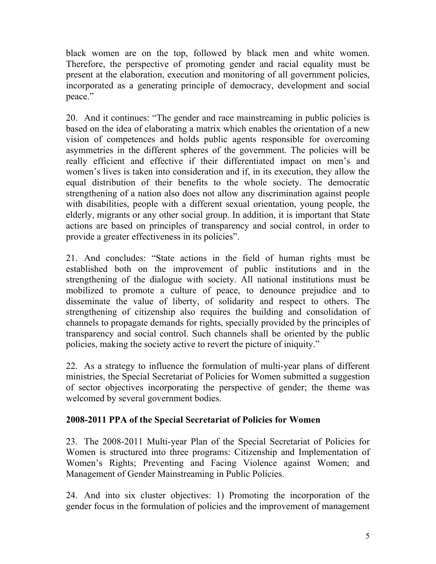black women are on the top, followed by black men and white women. Therefore, the perspective of promoting gender and racial equality must be present at the elaboration, execution and monitoring of all government policies, incorporated as a generating principle of democracy, development and social peace."

20. And it continues: "The gender and race mainstreaming in public policies is based on the idea of elaborating a matrix which enables the orientation of a new vision of competences and holds public agents responsible for overcoming asymmetries in the different spheres of the government. The policies will be really efficient and effective if their differentiated impact on men's and women's lives is taken into consideration and if, in its execution, they allow the equal distribution of their benefits to the whole society. The democratic strengthening of a nation also does not allow any discrimination against people with disabilities, people with a different sexual orientation, young people, the elderly, migrants or any other social group. In addition, it is important that State actions are based on principles of transparency and social control, in order to provide a greater effectiveness in its policies".

21. And concludes: "State actions in the field of human rights must be established both on the improvement of public institutions and in the strengthening of the dialogue with society. All national institutions must be mobilized to promote a culture of peace, to denounce prejudice and to disseminate the value of liberty, of solidarity and respect to others. The strengthening of citizenship also requires the building and consolidation of channels to propagate demands for rights, specially provided by the principles of transparency and social control. Such channels shall be oriented by the public policies, making the society active to revert the picture of iniquity."

22. As a strategy to influence the formulation of multi-year plans of different ministries, the Special Secretariat of Policies for Women submitted a suggestion of sector objectives incorporating the perspective of gender; the theme was welcomed by several government bodies.

### **2008-2011 PPA of the Special Secretariat of Policies for Women**

23. The 2008-2011 Multi-year Plan of the Special Secretariat of Policies for Women is structured into three programs: Citizenship and Implementation of Women's Rights; Preventing and Facing Violence against Women; and Management of Gender Mainstreaming in Public Policies.

24. And into six cluster objectives: 1) Promoting the incorporation of the gender focus in the formulation of policies and the improvement of management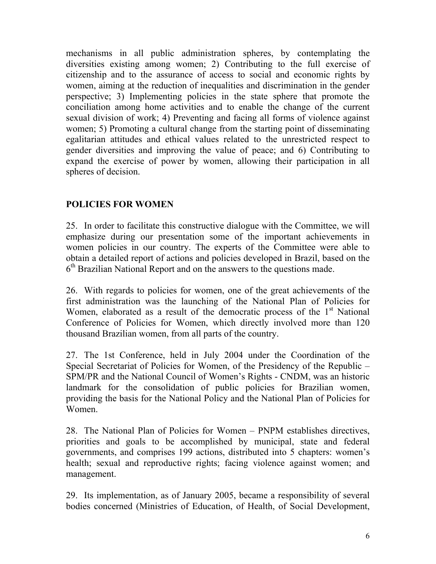mechanisms in all public administration spheres, by contemplating the diversities existing among women; 2) Contributing to the full exercise of citizenship and to the assurance of access to social and economic rights by women, aiming at the reduction of inequalities and discrimination in the gender perspective; 3) Implementing policies in the state sphere that promote the conciliation among home activities and to enable the change of the current sexual division of work; 4) Preventing and facing all forms of violence against women; 5) Promoting a cultural change from the starting point of disseminating egalitarian attitudes and ethical values related to the unrestricted respect to gender diversities and improving the value of peace; and 6) Contributing to expand the exercise of power by women, allowing their participation in all spheres of decision.

# **POLICIES FOR WOMEN**

25. In order to facilitate this constructive dialogue with the Committee, we will emphasize during our presentation some of the important achievements in women policies in our country. The experts of the Committee were able to obtain a detailed report of actions and policies developed in Brazil, based on the 6<sup>th</sup> Brazilian National Report and on the answers to the questions made.

26. With regards to policies for women, one of the great achievements of the first administration was the launching of the National Plan of Policies for Women, elaborated as a result of the democratic process of the  $1<sup>st</sup>$  National Conference of Policies for Women, which directly involved more than 120 thousand Brazilian women, from all parts of the country.

27. The 1st Conference, held in July 2004 under the Coordination of the Special Secretariat of Policies for Women, of the Presidency of the Republic – SPM/PR and the National Council of Women's Rights - CNDM, was an historic landmark for the consolidation of public policies for Brazilian women, providing the basis for the National Policy and the National Plan of Policies for Women.

28. The National Plan of Policies for Women – PNPM establishes directives, priorities and goals to be accomplished by municipal, state and federal governments, and comprises 199 actions, distributed into 5 chapters: women's health; sexual and reproductive rights; facing violence against women; and management.

29. Its implementation, as of January 2005, became a responsibility of several bodies concerned (Ministries of Education, of Health, of Social Development,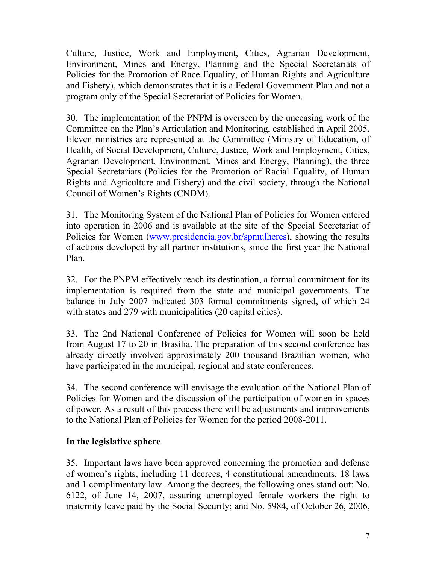Culture, Justice, Work and Employment, Cities, Agrarian Development, Environment, Mines and Energy, Planning and the Special Secretariats of Policies for the Promotion of Race Equality, of Human Rights and Agriculture and Fishery), which demonstrates that it is a Federal Government Plan and not a program only of the Special Secretariat of Policies for Women.

30. The implementation of the PNPM is overseen by the unceasing work of the Committee on the Plan's Articulation and Monitoring, established in April 2005. Eleven ministries are represented at the Committee (Ministry of Education, of Health, of Social Development, Culture, Justice, Work and Employment, Cities, Agrarian Development, Environment, Mines and Energy, Planning), the three Special Secretariats (Policies for the Promotion of Racial Equality, of Human Rights and Agriculture and Fishery) and the civil society, through the National Council of Women's Rights (CNDM).

31. The Monitoring System of the National Plan of Policies for Women entered into operation in 2006 and is available at the site of the Special Secretariat of Policies for Women (www.presidencia.gov.br/spmulheres), showing the results of actions developed by all partner institutions, since the first year the National Plan.

32. For the PNPM effectively reach its destination, a formal commitment for its implementation is required from the state and municipal governments. The balance in July 2007 indicated 303 formal commitments signed, of which 24 with states and 279 with municipalities (20 capital cities).

33. The 2nd National Conference of Policies for Women will soon be held from August 17 to 20 in Brasília. The preparation of this second conference has already directly involved approximately 200 thousand Brazilian women, who have participated in the municipal, regional and state conferences.

34. The second conference will envisage the evaluation of the National Plan of Policies for Women and the discussion of the participation of women in spaces of power. As a result of this process there will be adjustments and improvements to the National Plan of Policies for Women for the period 2008-2011.

### **In the legislative sphere**

35. Important laws have been approved concerning the promotion and defense of women's rights, including 11 decrees, 4 constitutional amendments, 18 laws and 1 complimentary law. Among the decrees, the following ones stand out: No. 6122, of June 14, 2007, assuring unemployed female workers the right to maternity leave paid by the Social Security; and No. 5984, of October 26, 2006,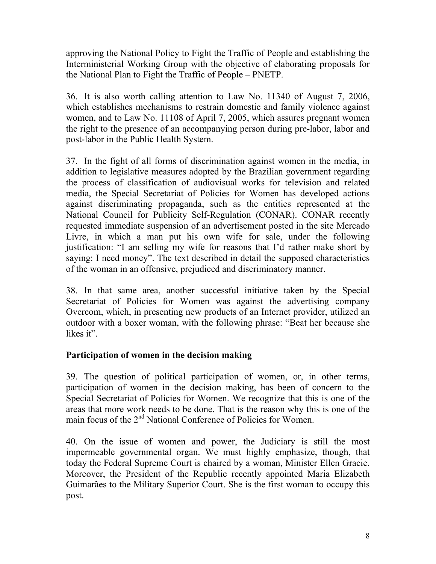approving the National Policy to Fight the Traffic of People and establishing the Interministerial Working Group with the objective of elaborating proposals for the National Plan to Fight the Traffic of People – PNETP.

36. It is also worth calling attention to Law No. 11340 of August 7, 2006, which establishes mechanisms to restrain domestic and family violence against women, and to Law No. 11108 of April 7, 2005, which assures pregnant women the right to the presence of an accompanying person during pre-labor, labor and post-labor in the Public Health System.

37. In the fight of all forms of discrimination against women in the media, in addition to legislative measures adopted by the Brazilian government regarding the process of classification of audiovisual works for television and related media, the Special Secretariat of Policies for Women has developed actions against discriminating propaganda, such as the entities represented at the National Council for Publicity Self-Regulation (CONAR). CONAR recently requested immediate suspension of an advertisement posted in the site Mercado Livre, in which a man put his own wife for sale, under the following justification: "I am selling my wife for reasons that I'd rather make short by saying: I need money". The text described in detail the supposed characteristics of the woman in an offensive, prejudiced and discriminatory manner.

38. In that same area, another successful initiative taken by the Special Secretariat of Policies for Women was against the advertising company Overcom, which, in presenting new products of an Internet provider, utilized an outdoor with a boxer woman, with the following phrase: "Beat her because she likes it".

### **Participation of women in the decision making**

39. The question of political participation of women, or, in other terms, participation of women in the decision making, has been of concern to the Special Secretariat of Policies for Women. We recognize that this is one of the areas that more work needs to be done. That is the reason why this is one of the main focus of the 2<sup>nd</sup> National Conference of Policies for Women.

40. On the issue of women and power, the Judiciary is still the most impermeable governmental organ. We must highly emphasize, though, that today the Federal Supreme Court is chaired by a woman, Minister Ellen Gracie. Moreover, the President of the Republic recently appointed Maria Elizabeth Guimarães to the Military Superior Court. She is the first woman to occupy this post.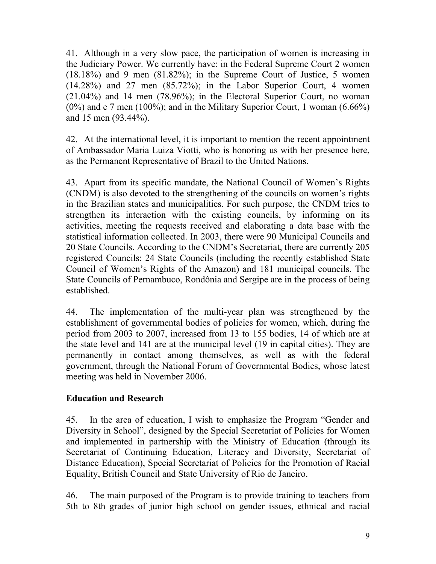41. Although in a very slow pace, the participation of women is increasing in the Judiciary Power. We currently have: in the Federal Supreme Court 2 women (18.18%) and 9 men (81.82%); in the Supreme Court of Justice, 5 women (14.28%) and 27 men (85.72%); in the Labor Superior Court, 4 women (21.04%) and 14 men (78.96%); in the Electoral Superior Court, no woman  $(0\%)$  and e 7 men  $(100\%)$ ; and in the Military Superior Court, 1 woman  $(6.66\%)$ and 15 men (93.44%).

42. At the international level, it is important to mention the recent appointment of Ambassador Maria Luiza Viotti, who is honoring us with her presence here, as the Permanent Representative of Brazil to the United Nations.

43. Apart from its specific mandate, the National Council of Women's Rights (CNDM) is also devoted to the strengthening of the councils on women's rights in the Brazilian states and municipalities. For such purpose, the CNDM tries to strengthen its interaction with the existing councils, by informing on its activities, meeting the requests received and elaborating a data base with the statistical information collected. In 2003, there were 90 Municipal Councils and 20 State Councils. According to the CNDM's Secretariat, there are currently 205 registered Councils: 24 State Councils (including the recently established State Council of Women's Rights of the Amazon) and 181 municipal councils. The State Councils of Pernambuco, Rondônia and Sergipe are in the process of being established.

44. The implementation of the multi-year plan was strengthened by the establishment of governmental bodies of policies for women, which, during the period from 2003 to 2007, increased from 13 to 155 bodies, 14 of which are at the state level and 141 are at the municipal level (19 in capital cities). They are permanently in contact among themselves, as well as with the federal government, through the National Forum of Governmental Bodies, whose latest meeting was held in November 2006.

### **Education and Research**

45. In the area of education, I wish to emphasize the Program "Gender and Diversity in School", designed by the Special Secretariat of Policies for Women and implemented in partnership with the Ministry of Education (through its Secretariat of Continuing Education, Literacy and Diversity, Secretariat of Distance Education), Special Secretariat of Policies for the Promotion of Racial Equality, British Council and State University of Rio de Janeiro.

46. The main purposed of the Program is to provide training to teachers from 5th to 8th grades of junior high school on gender issues, ethnical and racial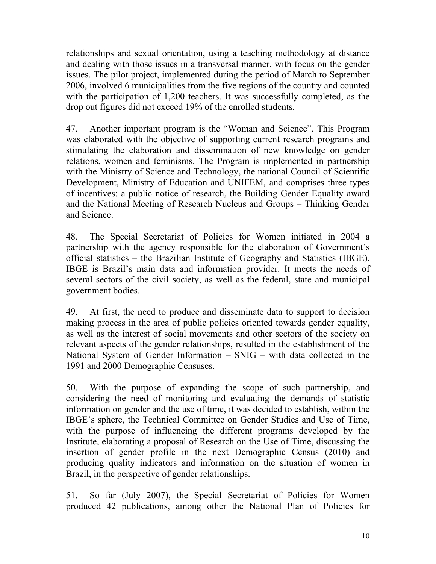relationships and sexual orientation, using a teaching methodology at distance and dealing with those issues in a transversal manner, with focus on the gender issues. The pilot project, implemented during the period of March to September 2006, involved 6 municipalities from the five regions of the country and counted with the participation of 1,200 teachers. It was successfully completed, as the drop out figures did not exceed 19% of the enrolled students.

47. Another important program is the "Woman and Science". This Program was elaborated with the objective of supporting current research programs and stimulating the elaboration and dissemination of new knowledge on gender relations, women and feminisms. The Program is implemented in partnership with the Ministry of Science and Technology, the national Council of Scientific Development, Ministry of Education and UNIFEM, and comprises three types of incentives: a public notice of research, the Building Gender Equality award and the National Meeting of Research Nucleus and Groups – Thinking Gender and Science.

48. The Special Secretariat of Policies for Women initiated in 2004 a partnership with the agency responsible for the elaboration of Government's official statistics – the Brazilian Institute of Geography and Statistics (IBGE). IBGE is Brazil's main data and information provider. It meets the needs of several sectors of the civil society, as well as the federal, state and municipal government bodies.

49. At first, the need to produce and disseminate data to support to decision making process in the area of public policies oriented towards gender equality, as well as the interest of social movements and other sectors of the society on relevant aspects of the gender relationships, resulted in the establishment of the National System of Gender Information – SNIG – with data collected in the 1991 and 2000 Demographic Censuses.

50. With the purpose of expanding the scope of such partnership, and considering the need of monitoring and evaluating the demands of statistic information on gender and the use of time, it was decided to establish, within the IBGE's sphere, the Technical Committee on Gender Studies and Use of Time, with the purpose of influencing the different programs developed by the Institute, elaborating a proposal of Research on the Use of Time, discussing the insertion of gender profile in the next Demographic Census (2010) and producing quality indicators and information on the situation of women in Brazil, in the perspective of gender relationships.

51. So far (July 2007), the Special Secretariat of Policies for Women produced 42 publications, among other the National Plan of Policies for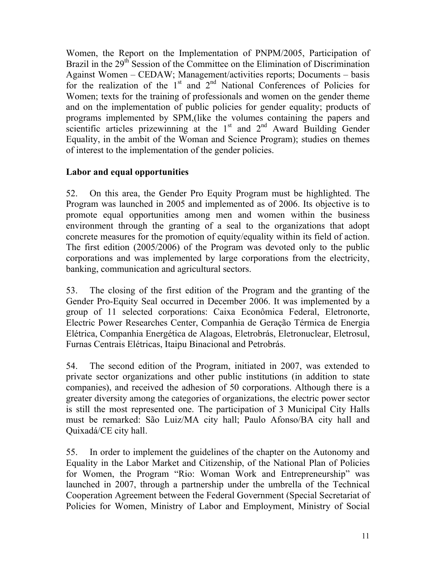Women, the Report on the Implementation of PNPM/2005, Participation of Brazil in the 29<sup>th</sup> Session of the Committee on the Elimination of Discrimination Against Women – CEDAW; Management/activities reports; Documents – basis for the realization of the  $1<sup>st</sup>$  and  $2<sup>nd</sup>$  National Conferences of Policies for Women; texts for the training of professionals and women on the gender theme and on the implementation of public policies for gender equality; products of programs implemented by SPM,(like the volumes containing the papers and scientific articles prizewinning at the  $1<sup>st</sup>$  and  $2<sup>nd</sup>$  Award Building Gender Equality, in the ambit of the Woman and Science Program); studies on themes of interest to the implementation of the gender policies.

### **Labor and equal opportunities**

52. On this area, the Gender Pro Equity Program must be highlighted. The Program was launched in 2005 and implemented as of 2006. Its objective is to promote equal opportunities among men and women within the business environment through the granting of a seal to the organizations that adopt concrete measures for the promotion of equity/equality within its field of action. The first edition (2005/2006) of the Program was devoted only to the public corporations and was implemented by large corporations from the electricity, banking, communication and agricultural sectors.

53. The closing of the first edition of the Program and the granting of the Gender Pro-Equity Seal occurred in December 2006. It was implemented by a group of 11 selected corporations: Caixa Econômica Federal, Eletronorte, Electric Power Researches Center, Companhia de Geração Térmica de Energia Elétrica, Companhia Energética de Alagoas, Eletrobrás, Eletronuclear, Eletrosul, Furnas Centrais Elétricas, Itaipu Binacional and Petrobrás.

54. The second edition of the Program, initiated in 2007, was extended to private sector organizations and other public institutions (in addition to state companies), and received the adhesion of 50 corporations. Although there is a greater diversity among the categories of organizations, the electric power sector is still the most represented one. The participation of 3 Municipal City Halls must be remarked: São Luiz/MA city hall; Paulo Afonso/BA city hall and Quixadá/CE city hall.

55. In order to implement the guidelines of the chapter on the Autonomy and Equality in the Labor Market and Citizenship, of the National Plan of Policies for Women, the Program "Rio: Woman Work and Entrepreneurship" was launched in 2007, through a partnership under the umbrella of the Technical Cooperation Agreement between the Federal Government (Special Secretariat of Policies for Women, Ministry of Labor and Employment, Ministry of Social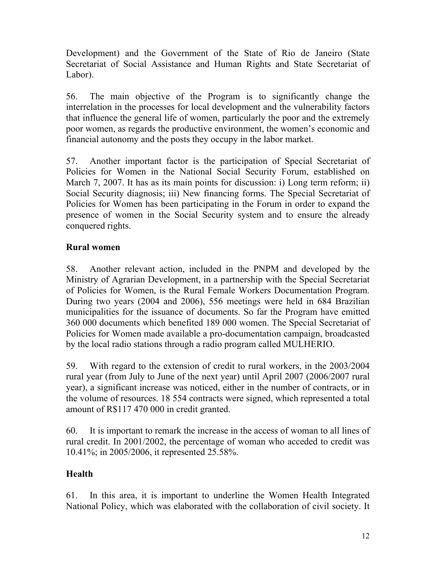Development) and the Government of the State of Rio de Janeiro (State Secretariat of Social Assistance and Human Rights and State Secretariat of Labor).

56. The main objective of the Program is to significantly change the interrelation in the processes for local development and the vulnerability factors that influence the general life of women, particularly the poor and the extremely poor women, as regards the productive environment, the women's economic and financial autonomy and the posts they occupy in the labor market.

57. Another important factor is the participation of Special Secretariat of Policies for Women in the National Social Security Forum, established on March 7, 2007. It has as its main points for discussion: i) Long term reform; ii) Social Security diagnosis; iii) New financing forms. The Special Secretariat of Policies for Women has been participating in the Forum in order to expand the presence of women in the Social Security system and to ensure the already conquered rights.

### **Rural women**

58. Another relevant action, included in the PNPM and developed by the Ministry of Agrarian Development, in a partnership with the Special Secretariat of Policies for Women, is the Rural Female Workers Documentation Program. During two years (2004 and 2006), 556 meetings were held in 684 Brazilian municipalities for the issuance of documents. So far the Program have emitted 360 000 documents which benefited 189 000 women. The Special Secretariat of Policies for Women made available a pro-documentation campaign, broadcasted by the local radio stations through a radio program called MULHERIO.

59. With regard to the extension of credit to rural workers, in the 2003/2004 rural year (from July to June of the next year) until April 2007 (2006/2007 rural year), a significant increase was noticed, either in the number of contracts, or in the volume of resources. 18 554 contracts were signed, which represented a total amount of R\$117 470 000 in credit granted.

60. It is important to remark the increase in the access of woman to all lines of rural credit. In 2001/2002, the percentage of woman who acceded to credit was 10.41%; in 2005/2006, it represented 25.58%.

### **Health**

61. In this area, it is important to underline the Women Health Integrated National Policy, which was elaborated with the collaboration of civil society. It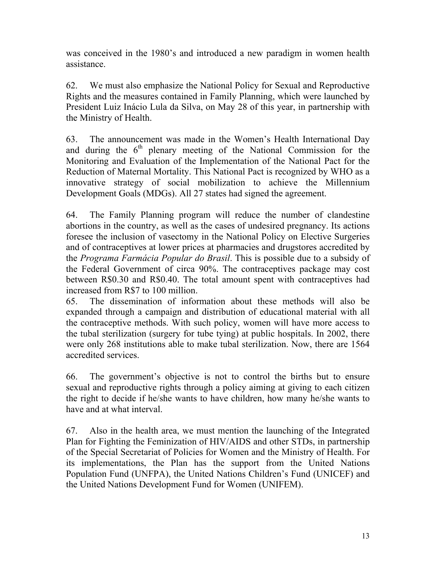was conceived in the 1980's and introduced a new paradigm in women health assistance.

62. We must also emphasize the National Policy for Sexual and Reproductive Rights and the measures contained in Family Planning, which were launched by President Luiz Inácio Lula da Silva, on May 28 of this year, in partnership with the Ministry of Health.

63. The announcement was made in the Women's Health International Day and during the  $6<sup>th</sup>$  plenary meeting of the National Commission for the Monitoring and Evaluation of the Implementation of the National Pact for the Reduction of Maternal Mortality. This National Pact is recognized by WHO as a innovative strategy of social mobilization to achieve the Millennium Development Goals (MDGs). All 27 states had signed the agreement.

64. The Family Planning program will reduce the number of clandestine abortions in the country, as well as the cases of undesired pregnancy. Its actions foresee the inclusion of vasectomy in the National Policy on Elective Surgeries and of contraceptives at lower prices at pharmacies and drugstores accredited by the *Programa Farmácia Popular do Brasil*. This is possible due to a subsidy of the Federal Government of circa 90%. The contraceptives package may cost between R\$0.30 and R\$0.40. The total amount spent with contraceptives had increased from R\$7 to 100 million.

65. The dissemination of information about these methods will also be expanded through a campaign and distribution of educational material with all the contraceptive methods. With such policy, women will have more access to the tubal sterilization (surgery for tube tying) at public hospitals. In 2002, there were only 268 institutions able to make tubal sterilization. Now, there are 1564 accredited services.

66. The government's objective is not to control the births but to ensure sexual and reproductive rights through a policy aiming at giving to each citizen the right to decide if he/she wants to have children, how many he/she wants to have and at what interval.

67. Also in the health area, we must mention the launching of the Integrated Plan for Fighting the Feminization of HIV/AIDS and other STDs, in partnership of the Special Secretariat of Policies for Women and the Ministry of Health. For its implementations, the Plan has the support from the United Nations Population Fund (UNFPA), the United Nations Children's Fund (UNICEF) and the United Nations Development Fund for Women (UNIFEM).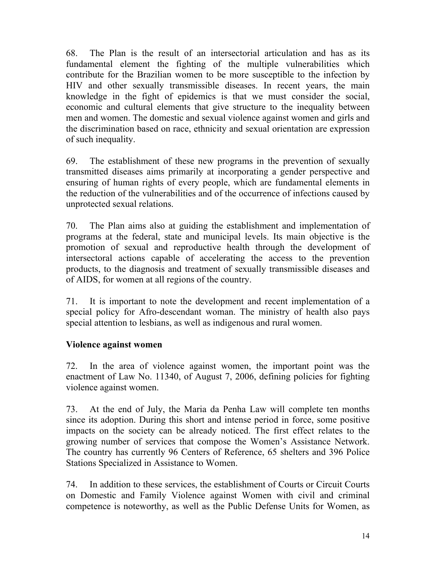68. The Plan is the result of an intersectorial articulation and has as its fundamental element the fighting of the multiple vulnerabilities which contribute for the Brazilian women to be more susceptible to the infection by HIV and other sexually transmissible diseases. In recent years, the main knowledge in the fight of epidemics is that we must consider the social, economic and cultural elements that give structure to the inequality between men and women. The domestic and sexual violence against women and girls and the discrimination based on race, ethnicity and sexual orientation are expression of such inequality.

69. The establishment of these new programs in the prevention of sexually transmitted diseases aims primarily at incorporating a gender perspective and ensuring of human rights of every people, which are fundamental elements in the reduction of the vulnerabilities and of the occurrence of infections caused by unprotected sexual relations.

70. The Plan aims also at guiding the establishment and implementation of programs at the federal, state and municipal levels. Its main objective is the promotion of sexual and reproductive health through the development of intersectoral actions capable of accelerating the access to the prevention products, to the diagnosis and treatment of sexually transmissible diseases and of AIDS, for women at all regions of the country.

71. It is important to note the development and recent implementation of a special policy for Afro-descendant woman. The ministry of health also pays special attention to lesbians, as well as indigenous and rural women.

#### **Violence against women**

72. In the area of violence against women, the important point was the enactment of Law No. 11340, of August 7, 2006, defining policies for fighting violence against women.

73. At the end of July, the Maria da Penha Law will complete ten months since its adoption. During this short and intense period in force, some positive impacts on the society can be already noticed. The first effect relates to the growing number of services that compose the Women's Assistance Network. The country has currently 96 Centers of Reference, 65 shelters and 396 Police Stations Specialized in Assistance to Women.

74. In addition to these services, the establishment of Courts or Circuit Courts on Domestic and Family Violence against Women with civil and criminal competence is noteworthy, as well as the Public Defense Units for Women, as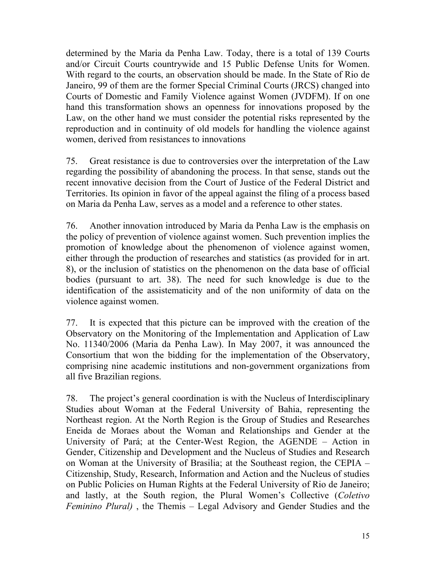determined by the Maria da Penha Law. Today, there is a total of 139 Courts and/or Circuit Courts countrywide and 15 Public Defense Units for Women. With regard to the courts, an observation should be made. In the State of Rio de Janeiro, 99 of them are the former Special Criminal Courts (JRCS) changed into Courts of Domestic and Family Violence against Women (JVDFM). If on one hand this transformation shows an openness for innovations proposed by the Law, on the other hand we must consider the potential risks represented by the reproduction and in continuity of old models for handling the violence against women, derived from resistances to innovations

75. Great resistance is due to controversies over the interpretation of the Law regarding the possibility of abandoning the process. In that sense, stands out the recent innovative decision from the Court of Justice of the Federal District and Territories. Its opinion in favor of the appeal against the filing of a process based on Maria da Penha Law, serves as a model and a reference to other states.

76. Another innovation introduced by Maria da Penha Law is the emphasis on the policy of prevention of violence against women. Such prevention implies the promotion of knowledge about the phenomenon of violence against women, either through the production of researches and statistics (as provided for in art. 8), or the inclusion of statistics on the phenomenon on the data base of official bodies (pursuant to art. 38). The need for such knowledge is due to the identification of the assistematicity and of the non uniformity of data on the violence against women.

77. It is expected that this picture can be improved with the creation of the Observatory on the Monitoring of the Implementation and Application of Law No. 11340/2006 (Maria da Penha Law). In May 2007, it was announced the Consortium that won the bidding for the implementation of the Observatory, comprising nine academic institutions and non-government organizations from all five Brazilian regions.

78. The project's general coordination is with the Nucleus of Interdisciplinary Studies about Woman at the Federal University of Bahia, representing the Northeast region. At the North Region is the Group of Studies and Researches Eneida de Moraes about the Woman and Relationships and Gender at the University of Pará; at the Center-West Region, the AGENDE – Action in Gender, Citizenship and Development and the Nucleus of Studies and Research on Woman at the University of Brasilia; at the Southeast region, the CEPIA – Citizenship, Study, Research, Information and Action and the Nucleus of studies on Public Policies on Human Rights at the Federal University of Rio de Janeiro; and lastly, at the South region, the Plural Women's Collective (*Coletivo Feminino Plural)* , the Themis – Legal Advisory and Gender Studies and the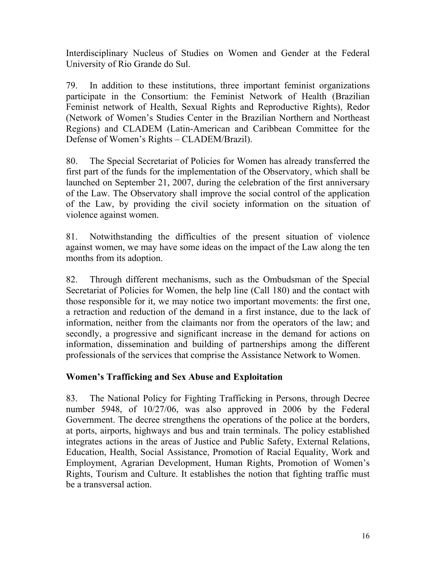Interdisciplinary Nucleus of Studies on Women and Gender at the Federal University of Rio Grande do Sul.

79. In addition to these institutions, three important feminist organizations participate in the Consortium: the Feminist Network of Health (Brazilian Feminist network of Health, Sexual Rights and Reproductive Rights), Redor (Network of Women's Studies Center in the Brazilian Northern and Northeast Regions) and CLADEM (Latin-American and Caribbean Committee for the Defense of Women's Rights – CLADEM/Brazil).

80. The Special Secretariat of Policies for Women has already transferred the first part of the funds for the implementation of the Observatory, which shall be launched on September 21, 2007, during the celebration of the first anniversary of the Law. The Observatory shall improve the social control of the application of the Law, by providing the civil society information on the situation of violence against women.

81. Notwithstanding the difficulties of the present situation of violence against women, we may have some ideas on the impact of the Law along the ten months from its adoption.

82. Through different mechanisms, such as the Ombudsman of the Special Secretariat of Policies for Women, the help line (Call 180) and the contact with those responsible for it, we may notice two important movements: the first one, a retraction and reduction of the demand in a first instance, due to the lack of information, neither from the claimants nor from the operators of the law; and secondly, a progressive and significant increase in the demand for actions on information, dissemination and building of partnerships among the different professionals of the services that comprise the Assistance Network to Women.

### **Women's Trafficking and Sex Abuse and Exploitation**

83. The National Policy for Fighting Trafficking in Persons, through Decree number 5948, of 10/27/06, was also approved in 2006 by the Federal Government. The decree strengthens the operations of the police at the borders, at ports, airports, highways and bus and train terminals. The policy established integrates actions in the areas of Justice and Public Safety, External Relations, Education, Health, Social Assistance, Promotion of Racial Equality, Work and Employment, Agrarian Development, Human Rights, Promotion of Women's Rights, Tourism and Culture. It establishes the notion that fighting traffic must be a transversal action.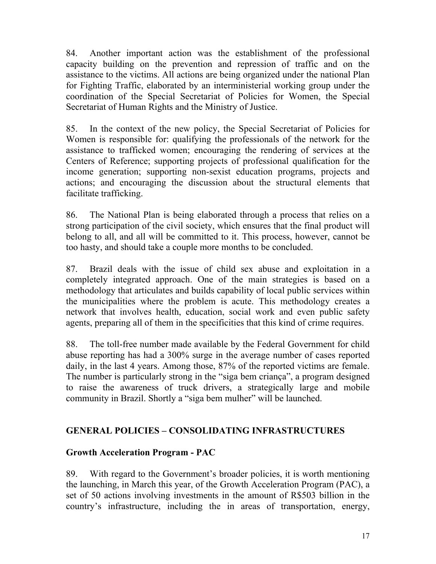84. Another important action was the establishment of the professional capacity building on the prevention and repression of traffic and on the assistance to the victims. All actions are being organized under the national Plan for Fighting Traffic, elaborated by an interministerial working group under the coordination of the Special Secretariat of Policies for Women, the Special Secretariat of Human Rights and the Ministry of Justice.

85. In the context of the new policy, the Special Secretariat of Policies for Women is responsible for: qualifying the professionals of the network for the assistance to trafficked women; encouraging the rendering of services at the Centers of Reference; supporting projects of professional qualification for the income generation; supporting non-sexist education programs, projects and actions; and encouraging the discussion about the structural elements that facilitate trafficking.

86. The National Plan is being elaborated through a process that relies on a strong participation of the civil society, which ensures that the final product will belong to all, and all will be committed to it. This process, however, cannot be too hasty, and should take a couple more months to be concluded.

87. Brazil deals with the issue of child sex abuse and exploitation in a completely integrated approach. One of the main strategies is based on a methodology that articulates and builds capability of local public services within the municipalities where the problem is acute. This methodology creates a network that involves health, education, social work and even public safety agents, preparing all of them in the specificities that this kind of crime requires.

88. The toll-free number made available by the Federal Government for child abuse reporting has had a 300% surge in the average number of cases reported daily, in the last 4 years. Among those, 87% of the reported victims are female. The number is particularly strong in the "siga bem criança", a program designed to raise the awareness of truck drivers, a strategically large and mobile community in Brazil. Shortly a "siga bem mulher" will be launched.

### **GENERAL POLICIES – CONSOLIDATING INFRASTRUCTURES**

### **Growth Acceleration Program - PAC**

89. With regard to the Government's broader policies, it is worth mentioning the launching, in March this year, of the Growth Acceleration Program (PAC), a set of 50 actions involving investments in the amount of R\$503 billion in the country's infrastructure, including the in areas of transportation, energy,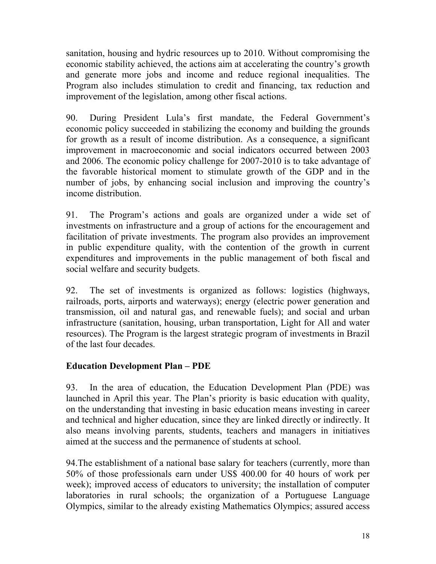sanitation, housing and hydric resources up to 2010. Without compromising the economic stability achieved, the actions aim at accelerating the country's growth and generate more jobs and income and reduce regional inequalities. The Program also includes stimulation to credit and financing, tax reduction and improvement of the legislation, among other fiscal actions.

90. During President Lula's first mandate, the Federal Government's economic policy succeeded in stabilizing the economy and building the grounds for growth as a result of income distribution. As a consequence, a significant improvement in macroeconomic and social indicators occurred between 2003 and 2006. The economic policy challenge for 2007-2010 is to take advantage of the favorable historical moment to stimulate growth of the GDP and in the number of jobs, by enhancing social inclusion and improving the country's income distribution.

91. The Program's actions and goals are organized under a wide set of investments on infrastructure and a group of actions for the encouragement and facilitation of private investments. The program also provides an improvement in public expenditure quality, with the contention of the growth in current expenditures and improvements in the public management of both fiscal and social welfare and security budgets.

92. The set of investments is organized as follows: logistics (highways, railroads, ports, airports and waterways); energy (electric power generation and transmission, oil and natural gas, and renewable fuels); and social and urban infrastructure (sanitation, housing, urban transportation, Light for All and water resources). The Program is the largest strategic program of investments in Brazil of the last four decades.

### **Education Development Plan – PDE**

93. In the area of education, the Education Development Plan (PDE) was launched in April this year. The Plan's priority is basic education with quality, on the understanding that investing in basic education means investing in career and technical and higher education, since they are linked directly or indirectly. It also means involving parents, students, teachers and managers in initiatives aimed at the success and the permanence of students at school.

94.The establishment of a national base salary for teachers (currently, more than 50% of those professionals earn under US\$ 400.00 for 40 hours of work per week); improved access of educators to university; the installation of computer laboratories in rural schools; the organization of a Portuguese Language Olympics, similar to the already existing Mathematics Olympics; assured access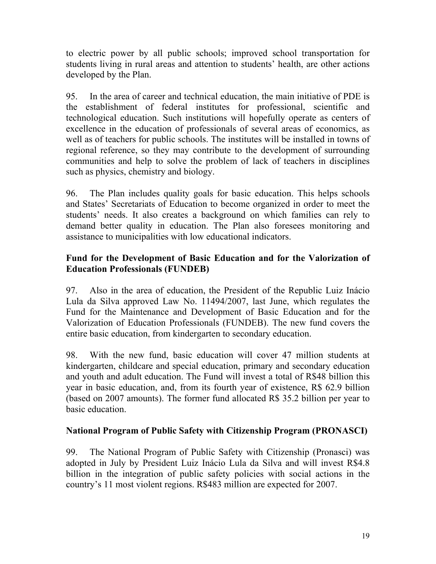to electric power by all public schools; improved school transportation for students living in rural areas and attention to students' health, are other actions developed by the Plan.

95. In the area of career and technical education, the main initiative of PDE is the establishment of federal institutes for professional, scientific and technological education. Such institutions will hopefully operate as centers of excellence in the education of professionals of several areas of economics, as well as of teachers for public schools. The institutes will be installed in towns of regional reference, so they may contribute to the development of surrounding communities and help to solve the problem of lack of teachers in disciplines such as physics, chemistry and biology.

96. The Plan includes quality goals for basic education. This helps schools and States' Secretariats of Education to become organized in order to meet the students' needs. It also creates a background on which families can rely to demand better quality in education. The Plan also foresees monitoring and assistance to municipalities with low educational indicators.

#### **Fund for the Development of Basic Education and for the Valorization of Education Professionals (FUNDEB)**

97. Also in the area of education, the President of the Republic Luiz Inácio Lula da Silva approved Law No. 11494/2007, last June, which regulates the Fund for the Maintenance and Development of Basic Education and for the Valorization of Education Professionals (FUNDEB). The new fund covers the entire basic education, from kindergarten to secondary education.

98. With the new fund, basic education will cover 47 million students at kindergarten, childcare and special education, primary and secondary education and youth and adult education. The Fund will invest a total of R\$48 billion this year in basic education, and, from its fourth year of existence, R\$ 62.9 billion (based on 2007 amounts). The former fund allocated R\$ 35.2 billion per year to basic education.

### **National Program of Public Safety with Citizenship Program (PRONASCI)**

99. The National Program of Public Safety with Citizenship (Pronasci) was adopted in July by President Luiz Inácio Lula da Silva and will invest R\$4.8 billion in the integration of public safety policies with social actions in the country's 11 most violent regions. R\$483 million are expected for 2007.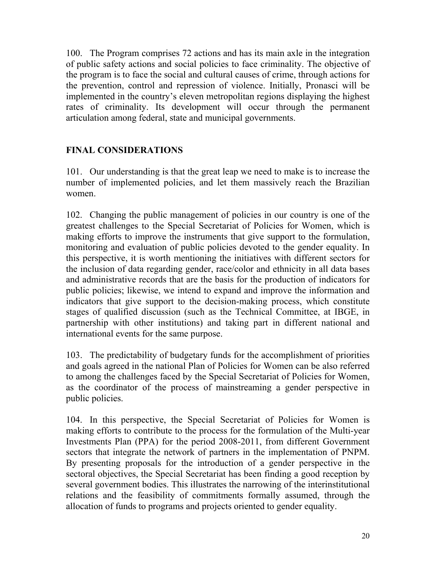100. The Program comprises 72 actions and has its main axle in the integration of public safety actions and social policies to face criminality. The objective of the program is to face the social and cultural causes of crime, through actions for the prevention, control and repression of violence. Initially, Pronasci will be implemented in the country's eleven metropolitan regions displaying the highest rates of criminality. Its development will occur through the permanent articulation among federal, state and municipal governments.

# **FINAL CONSIDERATIONS**

101. Our understanding is that the great leap we need to make is to increase the number of implemented policies, and let them massively reach the Brazilian women.

102. Changing the public management of policies in our country is one of the greatest challenges to the Special Secretariat of Policies for Women, which is making efforts to improve the instruments that give support to the formulation, monitoring and evaluation of public policies devoted to the gender equality. In this perspective, it is worth mentioning the initiatives with different sectors for the inclusion of data regarding gender, race/color and ethnicity in all data bases and administrative records that are the basis for the production of indicators for public policies; likewise, we intend to expand and improve the information and indicators that give support to the decision-making process, which constitute stages of qualified discussion (such as the Technical Committee, at IBGE, in partnership with other institutions) and taking part in different national and international events for the same purpose.

103. The predictability of budgetary funds for the accomplishment of priorities and goals agreed in the national Plan of Policies for Women can be also referred to among the challenges faced by the Special Secretariat of Policies for Women, as the coordinator of the process of mainstreaming a gender perspective in public policies.

104. In this perspective, the Special Secretariat of Policies for Women is making efforts to contribute to the process for the formulation of the Multi-year Investments Plan (PPA) for the period 2008-2011, from different Government sectors that integrate the network of partners in the implementation of PNPM. By presenting proposals for the introduction of a gender perspective in the sectoral objectives, the Special Secretariat has been finding a good reception by several government bodies. This illustrates the narrowing of the interinstitutional relations and the feasibility of commitments formally assumed, through the allocation of funds to programs and projects oriented to gender equality.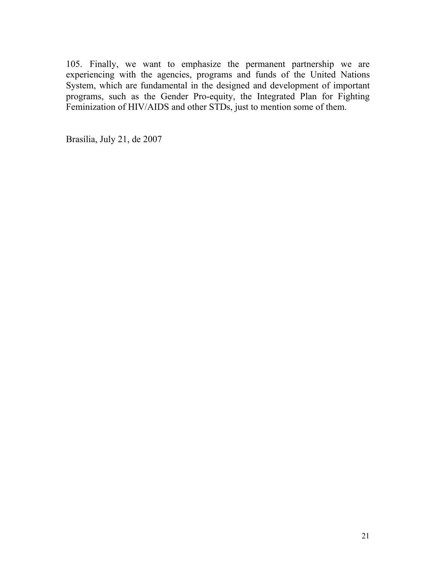105. Finally, we want to emphasize the permanent partnership we are experiencing with the agencies, programs and funds of the United Nations System, which are fundamental in the designed and development of important programs, such as the Gender Pro-equity, the Integrated Plan for Fighting Feminization of HIV/AIDS and other STDs, just to mention some of them.

Brasília, July 21, de 2007